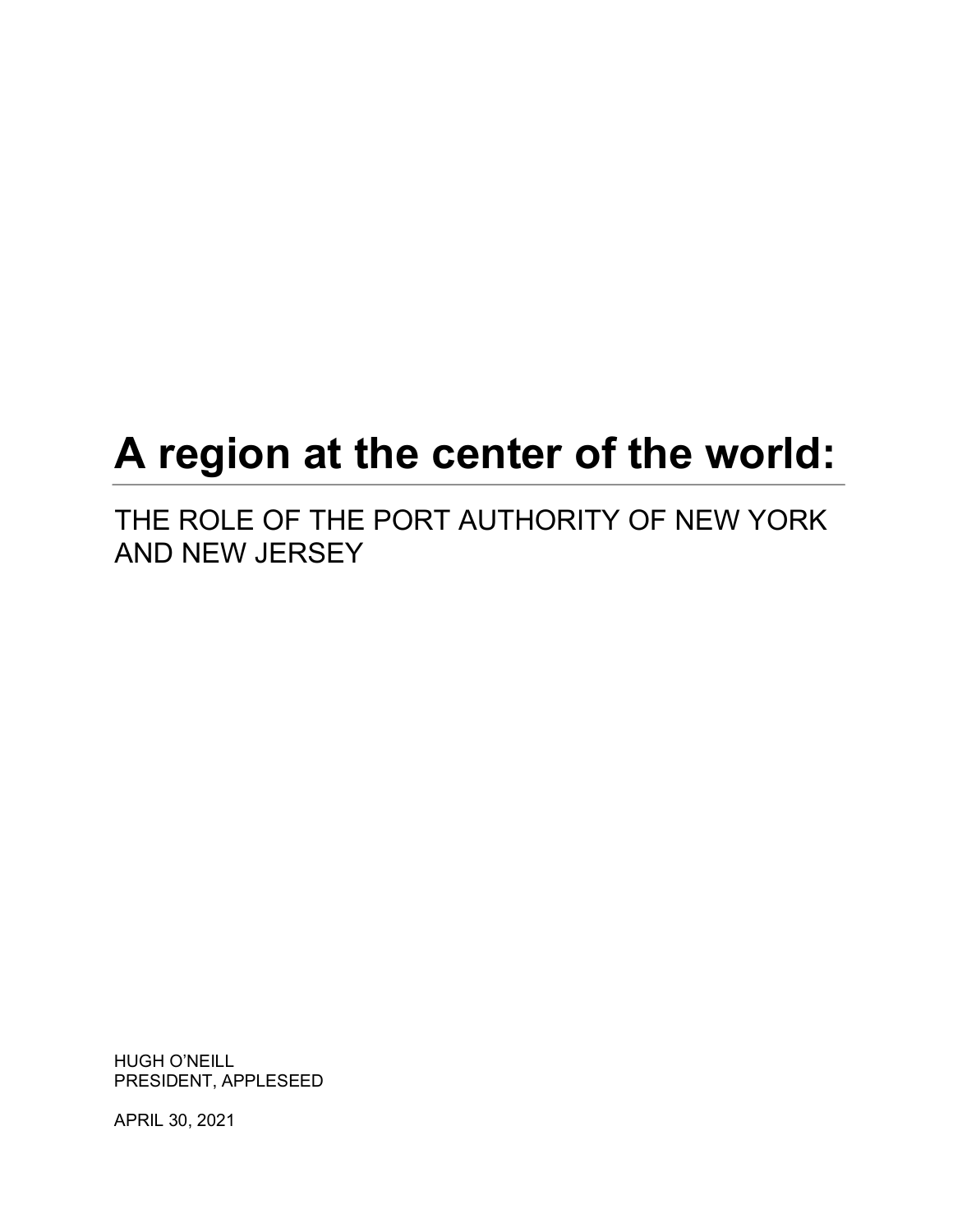# **A region at the center of the world:**

THE ROLE OF THE PORT AUTHORITY OF NEW YORK AND NEW JERSEY

HUGH O'NEILL PRESIDENT, APPLESEED

APRIL 30, 2021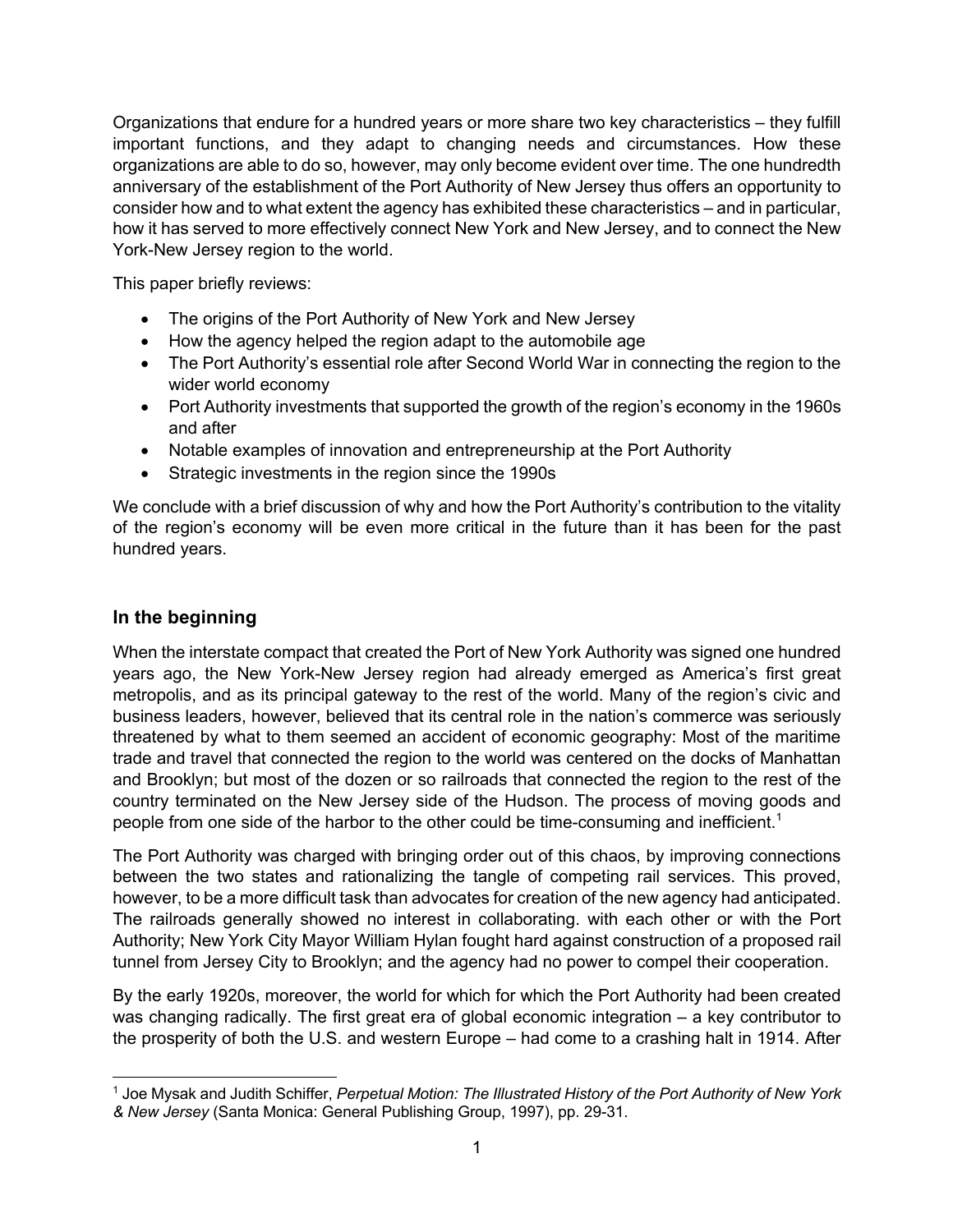Organizations that endure for a hundred years or more share two key characteristics – they fulfill important functions, and they adapt to changing needs and circumstances. How these organizations are able to do so, however, may only become evident over time. The one hundredth anniversary of the establishment of the Port Authority of New Jersey thus offers an opportunity to consider how and to what extent the agency has exhibited these characteristics – and in particular, how it has served to more effectively connect New York and New Jersey, and to connect the New York-New Jersey region to the world.

This paper briefly reviews:

- The origins of the Port Authority of New York and New Jersey
- How the agency helped the region adapt to the automobile age
- The Port Authority's essential role after Second World War in connecting the region to the wider world economy
- Port Authority investments that supported the growth of the region's economy in the 1960s and after
- Notable examples of innovation and entrepreneurship at the Port Authority
- Strategic investments in the region since the 1990s

We conclude with a brief discussion of why and how the Port Authority's contribution to the vitality of the region's economy will be even more critical in the future than it has been for the past hundred years.

# **In the beginning**

When the interstate compact that created the Port of New York Authority was signed one hundred years ago, the New York-New Jersey region had already emerged as America's first great metropolis, and as its principal gateway to the rest of the world. Many of the region's civic and business leaders, however, believed that its central role in the nation's commerce was seriously threatened by what to them seemed an accident of economic geography: Most of the maritime trade and travel that connected the region to the world was centered on the docks of Manhattan and Brooklyn; but most of the dozen or so railroads that connected the region to the rest of the country terminated on the New Jersey side of the Hudson. The process of moving goods and people from one side of the harbor to the other could be time-consuming and inefficient.<sup>1</sup>

The Port Authority was charged with bringing order out of this chaos, by improving connections between the two states and rationalizing the tangle of competing rail services. This proved, however, to be a more difficult task than advocates for creation of the new agency had anticipated. The railroads generally showed no interest in collaborating. with each other or with the Port Authority; New York City Mayor William Hylan fought hard against construction of a proposed rail tunnel from Jersey City to Brooklyn; and the agency had no power to compel their cooperation.

By the early 1920s, moreover, the world for which for which the Port Authority had been created was changing radically. The first great era of global economic integration – a key contributor to the prosperity of both the U.S. and western Europe – had come to a crashing halt in 1914. After

<sup>1</sup> Joe Mysak and Judith Schiffer, *Perpetual Motion: The Illustrated History of the Port Authority of New York & New Jersey* (Santa Monica: General Publishing Group, 1997), pp. 29-31.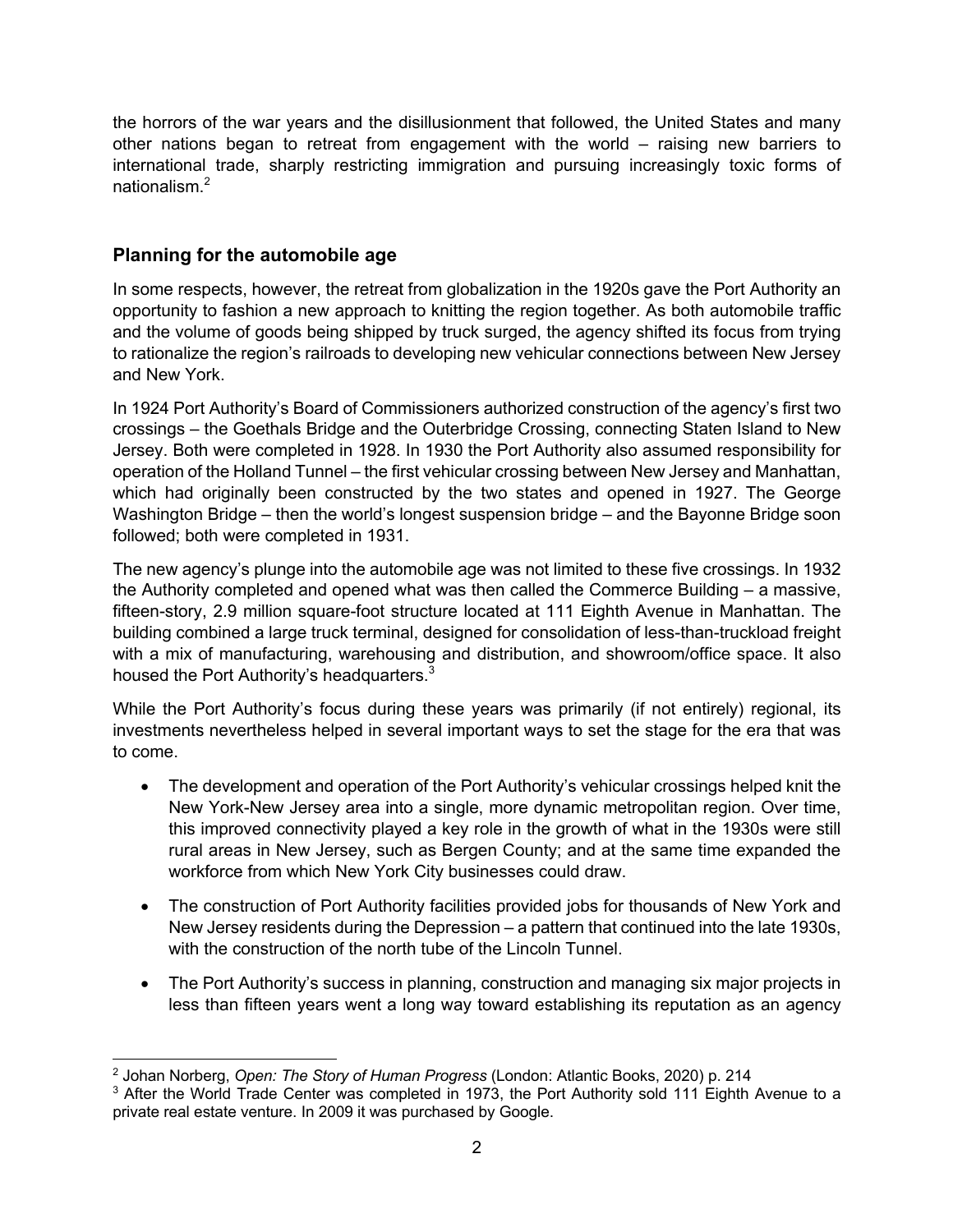the horrors of the war years and the disillusionment that followed, the United States and many other nations began to retreat from engagement with the world – raising new barriers to international trade, sharply restricting immigration and pursuing increasingly toxic forms of nationalism.<sup>2</sup>

# **Planning for the automobile age**

In some respects, however, the retreat from globalization in the 1920s gave the Port Authority an opportunity to fashion a new approach to knitting the region together. As both automobile traffic and the volume of goods being shipped by truck surged, the agency shifted its focus from trying to rationalize the region's railroads to developing new vehicular connections between New Jersey and New York.

In 1924 Port Authority's Board of Commissioners authorized construction of the agency's first two crossings – the Goethals Bridge and the Outerbridge Crossing, connecting Staten Island to New Jersey. Both were completed in 1928. In 1930 the Port Authority also assumed responsibility for operation of the Holland Tunnel – the first vehicular crossing between New Jersey and Manhattan, which had originally been constructed by the two states and opened in 1927. The George Washington Bridge – then the world's longest suspension bridge – and the Bayonne Bridge soon followed; both were completed in 1931.

The new agency's plunge into the automobile age was not limited to these five crossings. In 1932 the Authority completed and opened what was then called the Commerce Building – a massive, fifteen-story, 2.9 million square-foot structure located at 111 Eighth Avenue in Manhattan. The building combined a large truck terminal, designed for consolidation of less-than-truckload freight with a mix of manufacturing, warehousing and distribution, and showroom/office space. It also housed the Port Authority's headquarters.<sup>3</sup>

While the Port Authority's focus during these years was primarily (if not entirely) regional, its investments nevertheless helped in several important ways to set the stage for the era that was to come.

- The development and operation of the Port Authority's vehicular crossings helped knit the New York-New Jersey area into a single, more dynamic metropolitan region. Over time, this improved connectivity played a key role in the growth of what in the 1930s were still rural areas in New Jersey, such as Bergen County; and at the same time expanded the workforce from which New York City businesses could draw.
- The construction of Port Authority facilities provided jobs for thousands of New York and New Jersey residents during the Depression – a pattern that continued into the late 1930s, with the construction of the north tube of the Lincoln Tunnel.
- The Port Authority's success in planning, construction and managing six major projects in less than fifteen years went a long way toward establishing its reputation as an agency

<sup>2</sup> Johan Norberg, *Open: The Story of Human Progress* (London: Atlantic Books, 2020) p. 214

 $3$  After the World Trade Center was completed in 1973, the Port Authority sold 111 Eighth Avenue to a private real estate venture. In 2009 it was purchased by Google.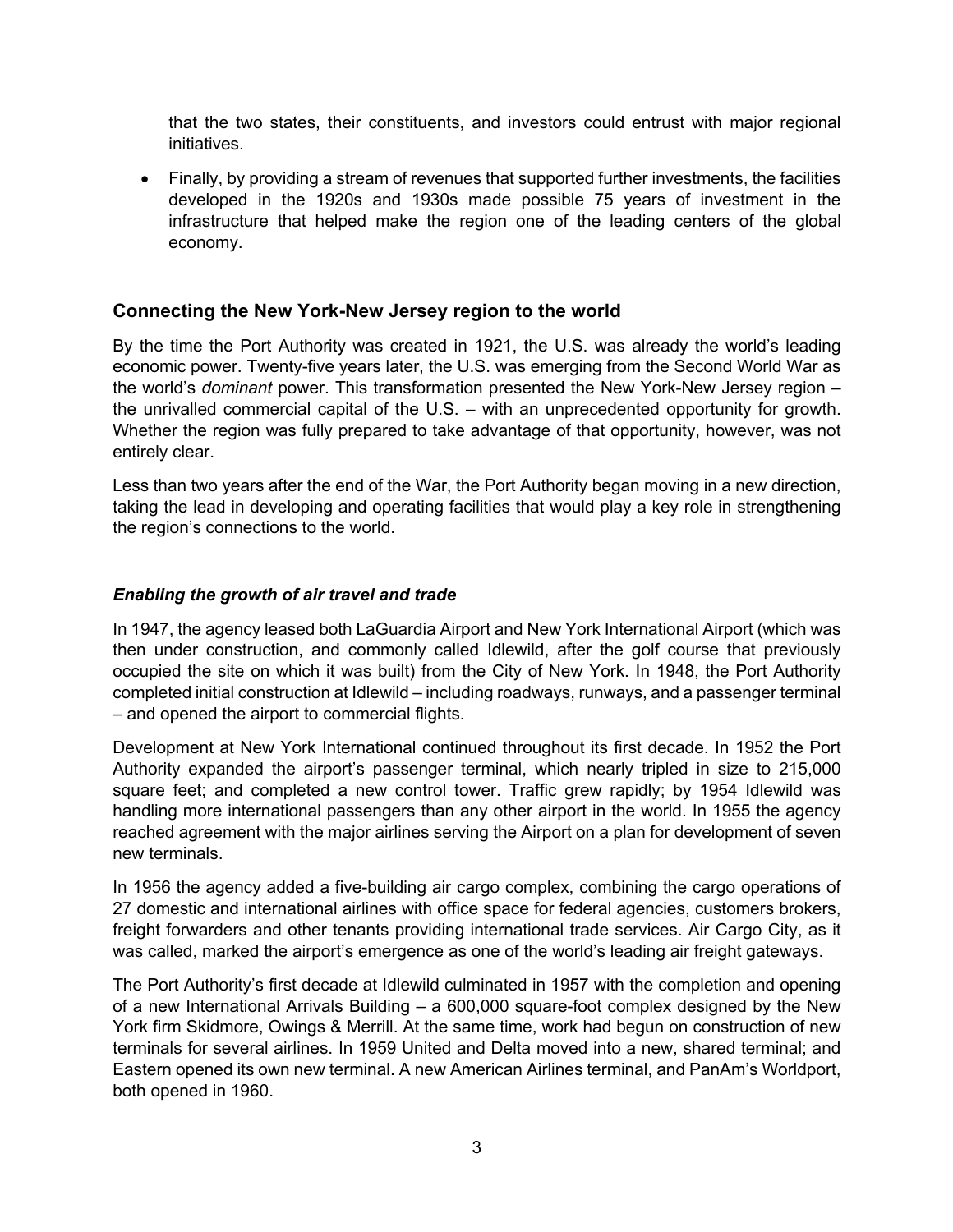that the two states, their constituents, and investors could entrust with major regional initiatives.

• Finally, by providing a stream of revenues that supported further investments, the facilities developed in the 1920s and 1930s made possible 75 years of investment in the infrastructure that helped make the region one of the leading centers of the global economy.

#### **Connecting the New York-New Jersey region to the world**

By the time the Port Authority was created in 1921, the U.S. was already the world's leading economic power. Twenty-five years later, the U.S. was emerging from the Second World War as the world's *dominant* power. This transformation presented the New York-New Jersey region – the unrivalled commercial capital of the U.S. – with an unprecedented opportunity for growth. Whether the region was fully prepared to take advantage of that opportunity, however, was not entirely clear.

Less than two years after the end of the War, the Port Authority began moving in a new direction, taking the lead in developing and operating facilities that would play a key role in strengthening the region's connections to the world.

#### *Enabling the growth of air travel and trade*

In 1947, the agency leased both LaGuardia Airport and New York International Airport (which was then under construction, and commonly called Idlewild, after the golf course that previously occupied the site on which it was built) from the City of New York. In 1948, the Port Authority completed initial construction at Idlewild – including roadways, runways, and a passenger terminal – and opened the airport to commercial flights.

Development at New York International continued throughout its first decade. In 1952 the Port Authority expanded the airport's passenger terminal, which nearly tripled in size to 215,000 square feet; and completed a new control tower. Traffic grew rapidly; by 1954 Idlewild was handling more international passengers than any other airport in the world. In 1955 the agency reached agreement with the major airlines serving the Airport on a plan for development of seven new terminals.

In 1956 the agency added a five-building air cargo complex, combining the cargo operations of 27 domestic and international airlines with office space for federal agencies, customers brokers, freight forwarders and other tenants providing international trade services. Air Cargo City, as it was called, marked the airport's emergence as one of the world's leading air freight gateways.

The Port Authority's first decade at Idlewild culminated in 1957 with the completion and opening of a new International Arrivals Building – a 600,000 square-foot complex designed by the New York firm Skidmore, Owings & Merrill. At the same time, work had begun on construction of new terminals for several airlines. In 1959 United and Delta moved into a new, shared terminal; and Eastern opened its own new terminal. A new American Airlines terminal, and PanAm's Worldport, both opened in 1960.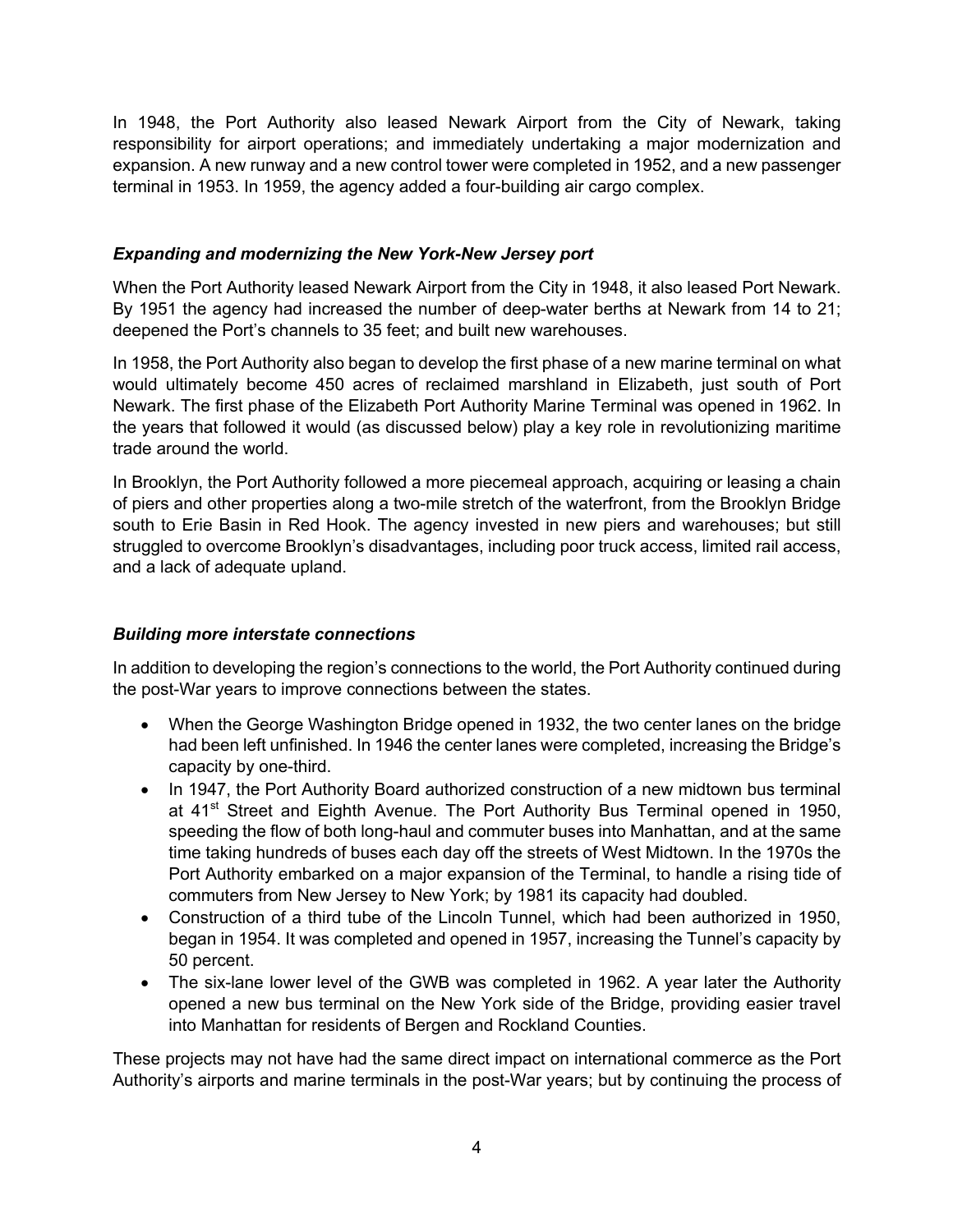In 1948, the Port Authority also leased Newark Airport from the City of Newark, taking responsibility for airport operations; and immediately undertaking a major modernization and expansion. A new runway and a new control tower were completed in 1952, and a new passenger terminal in 1953. In 1959, the agency added a four-building air cargo complex.

#### *Expanding and modernizing the New York-New Jersey port*

When the Port Authority leased Newark Airport from the City in 1948, it also leased Port Newark. By 1951 the agency had increased the number of deep-water berths at Newark from 14 to 21; deepened the Port's channels to 35 feet; and built new warehouses.

In 1958, the Port Authority also began to develop the first phase of a new marine terminal on what would ultimately become 450 acres of reclaimed marshland in Elizabeth, just south of Port Newark. The first phase of the Elizabeth Port Authority Marine Terminal was opened in 1962. In the years that followed it would (as discussed below) play a key role in revolutionizing maritime trade around the world.

In Brooklyn, the Port Authority followed a more piecemeal approach, acquiring or leasing a chain of piers and other properties along a two-mile stretch of the waterfront, from the Brooklyn Bridge south to Erie Basin in Red Hook. The agency invested in new piers and warehouses; but still struggled to overcome Brooklyn's disadvantages, including poor truck access, limited rail access, and a lack of adequate upland.

## *Building more interstate connections*

In addition to developing the region's connections to the world, the Port Authority continued during the post-War years to improve connections between the states.

- When the George Washington Bridge opened in 1932, the two center lanes on the bridge had been left unfinished. In 1946 the center lanes were completed, increasing the Bridge's capacity by one-third.
- In 1947, the Port Authority Board authorized construction of a new midtown bus terminal at 41<sup>st</sup> Street and Eighth Avenue. The Port Authority Bus Terminal opened in 1950, speeding the flow of both long-haul and commuter buses into Manhattan, and at the same time taking hundreds of buses each day off the streets of West Midtown. In the 1970s the Port Authority embarked on a major expansion of the Terminal, to handle a rising tide of commuters from New Jersey to New York; by 1981 its capacity had doubled.
- Construction of a third tube of the Lincoln Tunnel, which had been authorized in 1950, began in 1954. It was completed and opened in 1957, increasing the Tunnel's capacity by 50 percent.
- The six-lane lower level of the GWB was completed in 1962. A year later the Authority opened a new bus terminal on the New York side of the Bridge, providing easier travel into Manhattan for residents of Bergen and Rockland Counties.

These projects may not have had the same direct impact on international commerce as the Port Authority's airports and marine terminals in the post-War years; but by continuing the process of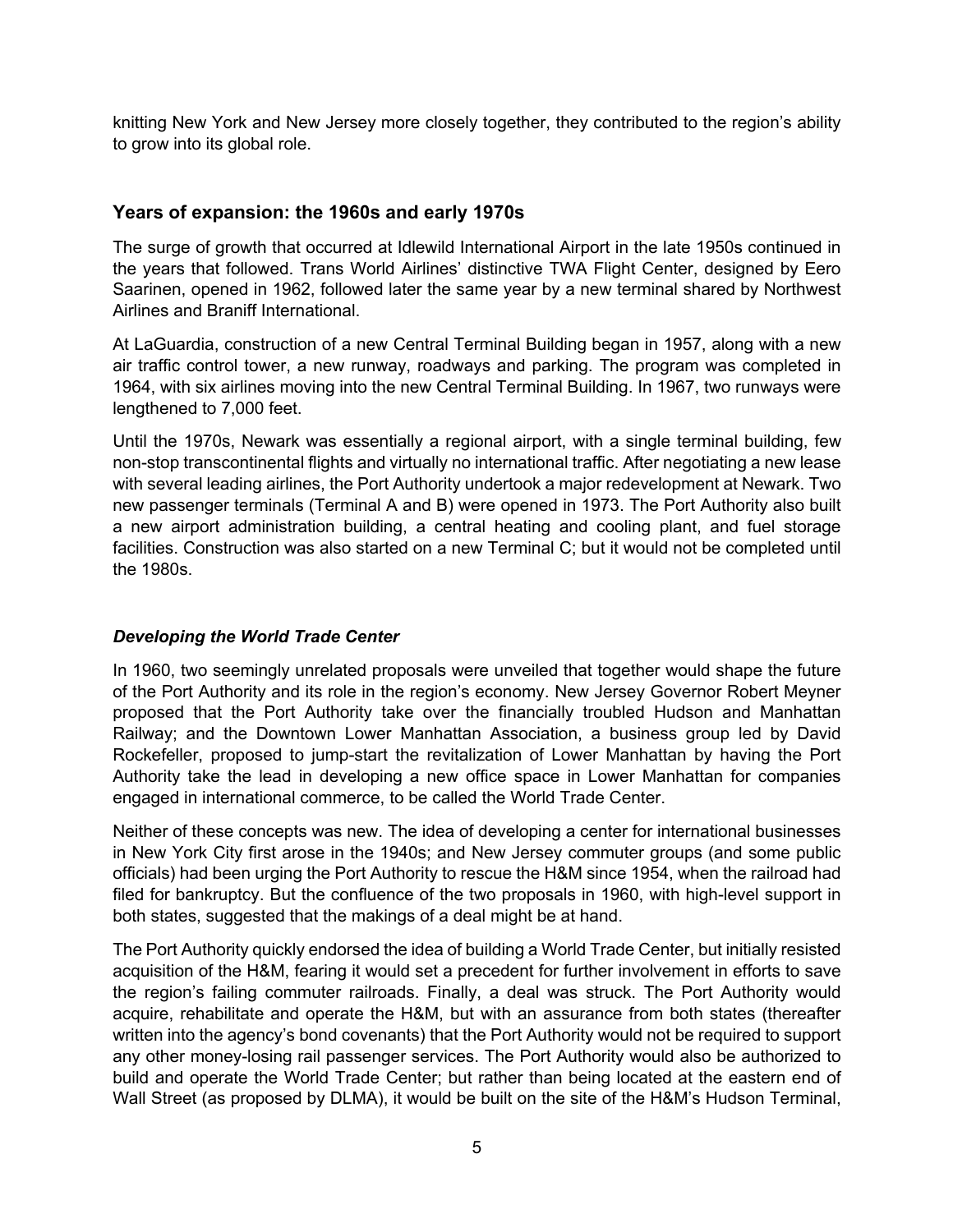knitting New York and New Jersey more closely together, they contributed to the region's ability to grow into its global role.

## **Years of expansion: the 1960s and early 1970s**

The surge of growth that occurred at Idlewild International Airport in the late 1950s continued in the years that followed. Trans World Airlines' distinctive TWA Flight Center, designed by Eero Saarinen, opened in 1962, followed later the same year by a new terminal shared by Northwest Airlines and Braniff International.

At LaGuardia, construction of a new Central Terminal Building began in 1957, along with a new air traffic control tower, a new runway, roadways and parking. The program was completed in 1964, with six airlines moving into the new Central Terminal Building. In 1967, two runways were lengthened to 7,000 feet.

Until the 1970s, Newark was essentially a regional airport, with a single terminal building, few non-stop transcontinental flights and virtually no international traffic. After negotiating a new lease with several leading airlines, the Port Authority undertook a major redevelopment at Newark. Two new passenger terminals (Terminal A and B) were opened in 1973. The Port Authority also built a new airport administration building, a central heating and cooling plant, and fuel storage facilities. Construction was also started on a new Terminal C; but it would not be completed until the 1980s.

## *Developing the World Trade Center*

In 1960, two seemingly unrelated proposals were unveiled that together would shape the future of the Port Authority and its role in the region's economy. New Jersey Governor Robert Meyner proposed that the Port Authority take over the financially troubled Hudson and Manhattan Railway; and the Downtown Lower Manhattan Association, a business group led by David Rockefeller, proposed to jump-start the revitalization of Lower Manhattan by having the Port Authority take the lead in developing a new office space in Lower Manhattan for companies engaged in international commerce, to be called the World Trade Center.

Neither of these concepts was new. The idea of developing a center for international businesses in New York City first arose in the 1940s; and New Jersey commuter groups (and some public officials) had been urging the Port Authority to rescue the H&M since 1954, when the railroad had filed for bankruptcy. But the confluence of the two proposals in 1960, with high-level support in both states, suggested that the makings of a deal might be at hand.

The Port Authority quickly endorsed the idea of building a World Trade Center, but initially resisted acquisition of the H&M, fearing it would set a precedent for further involvement in efforts to save the region's failing commuter railroads. Finally, a deal was struck. The Port Authority would acquire, rehabilitate and operate the H&M, but with an assurance from both states (thereafter written into the agency's bond covenants) that the Port Authority would not be required to support any other money-losing rail passenger services. The Port Authority would also be authorized to build and operate the World Trade Center; but rather than being located at the eastern end of Wall Street (as proposed by DLMA), it would be built on the site of the H&M's Hudson Terminal,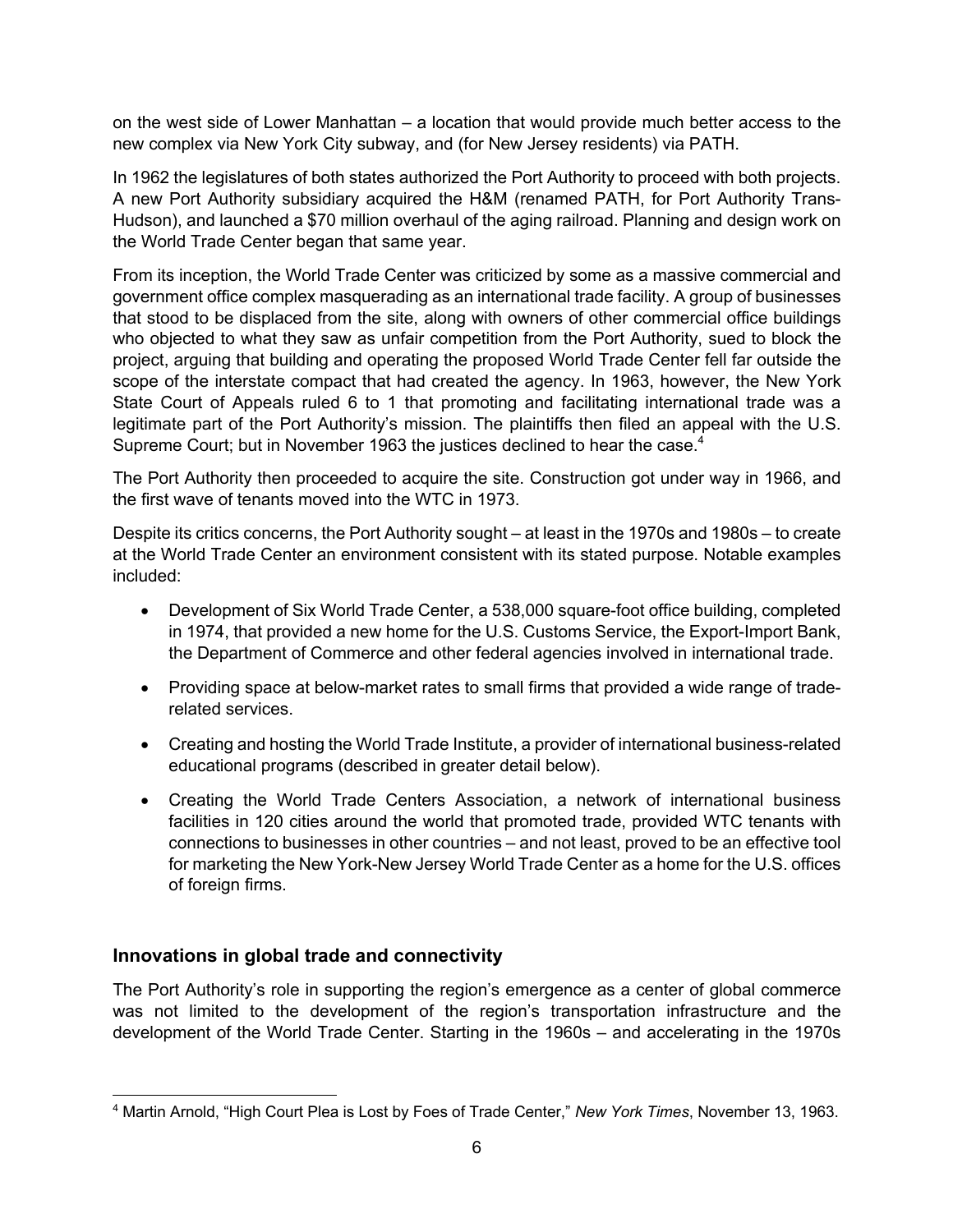on the west side of Lower Manhattan – a location that would provide much better access to the new complex via New York City subway, and (for New Jersey residents) via PATH.

In 1962 the legislatures of both states authorized the Port Authority to proceed with both projects. A new Port Authority subsidiary acquired the H&M (renamed PATH, for Port Authority Trans-Hudson), and launched a \$70 million overhaul of the aging railroad. Planning and design work on the World Trade Center began that same year.

From its inception, the World Trade Center was criticized by some as a massive commercial and government office complex masquerading as an international trade facility. A group of businesses that stood to be displaced from the site, along with owners of other commercial office buildings who objected to what they saw as unfair competition from the Port Authority, sued to block the project, arguing that building and operating the proposed World Trade Center fell far outside the scope of the interstate compact that had created the agency. In 1963, however, the New York State Court of Appeals ruled 6 to 1 that promoting and facilitating international trade was a legitimate part of the Port Authority's mission. The plaintiffs then filed an appeal with the U.S. Supreme Court; but in November 1963 the justices declined to hear the case.<sup>4</sup>

The Port Authority then proceeded to acquire the site. Construction got under way in 1966, and the first wave of tenants moved into the WTC in 1973.

Despite its critics concerns, the Port Authority sought – at least in the 1970s and 1980s – to create at the World Trade Center an environment consistent with its stated purpose. Notable examples included:

- Development of Six World Trade Center, a 538,000 square-foot office building, completed in 1974, that provided a new home for the U.S. Customs Service, the Export-Import Bank, the Department of Commerce and other federal agencies involved in international trade.
- Providing space at below-market rates to small firms that provided a wide range of traderelated services.
- Creating and hosting the World Trade Institute, a provider of international business-related educational programs (described in greater detail below).
- Creating the World Trade Centers Association, a network of international business facilities in 120 cities around the world that promoted trade, provided WTC tenants with connections to businesses in other countries – and not least, proved to be an effective tool for marketing the New York-New Jersey World Trade Center as a home for the U.S. offices of foreign firms.

# **Innovations in global trade and connectivity**

The Port Authority's role in supporting the region's emergence as a center of global commerce was not limited to the development of the region's transportation infrastructure and the development of the World Trade Center. Starting in the 1960s – and accelerating in the 1970s

<sup>4</sup> Martin Arnold, "High Court Plea is Lost by Foes of Trade Center," *New York Times*, November 13, 1963.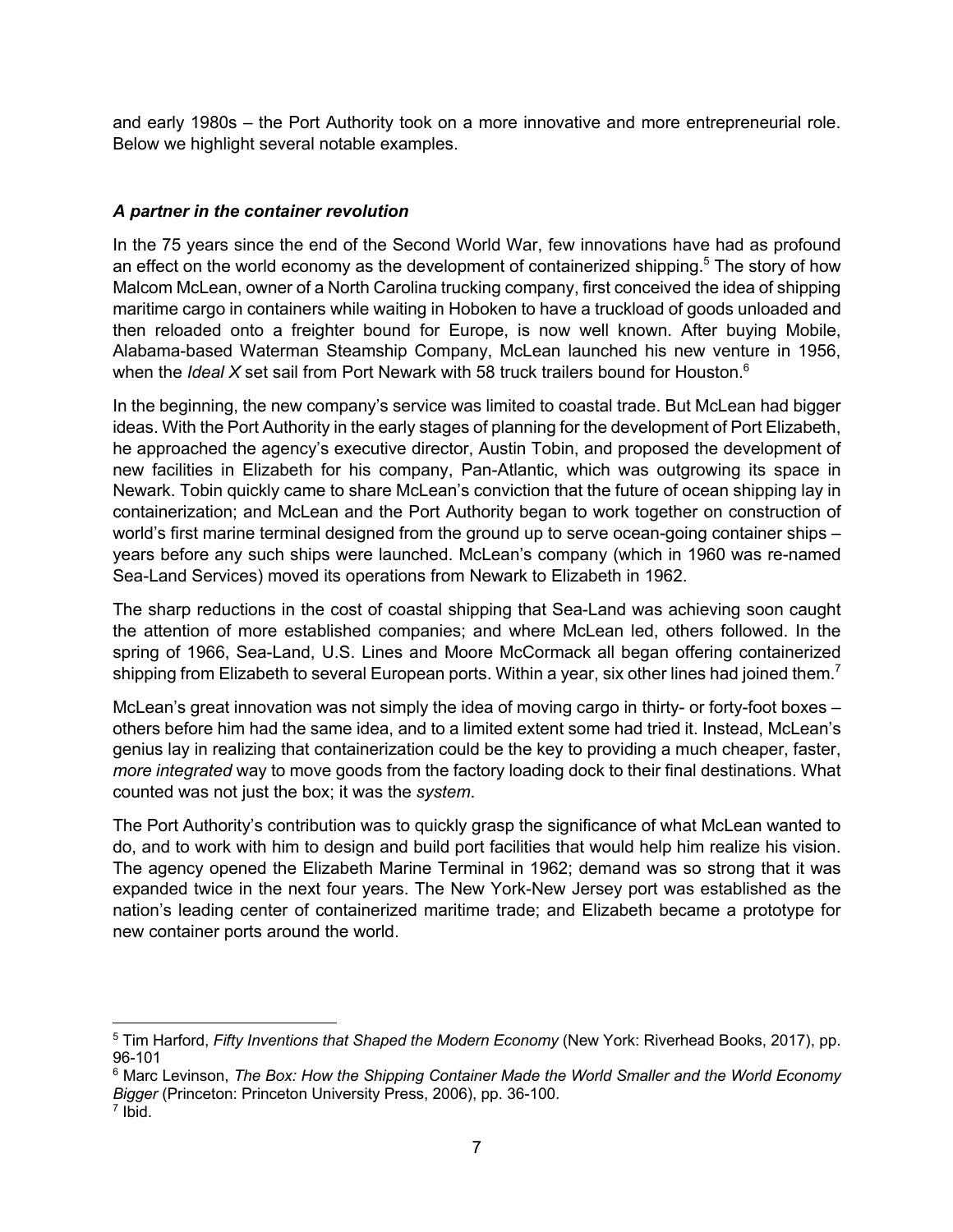and early 1980s – the Port Authority took on a more innovative and more entrepreneurial role. Below we highlight several notable examples.

## *A partner in the container revolution*

In the 75 years since the end of the Second World War, few innovations have had as profound an effect on the world economy as the development of containerized shipping.<sup>5</sup> The story of how Malcom McLean, owner of a North Carolina trucking company, first conceived the idea of shipping maritime cargo in containers while waiting in Hoboken to have a truckload of goods unloaded and then reloaded onto a freighter bound for Europe, is now well known. After buying Mobile, Alabama-based Waterman Steamship Company, McLean launched his new venture in 1956, when the *Ideal X* set sail from Port Newark with 58 truck trailers bound for Houston.<sup>6</sup>

In the beginning, the new company's service was limited to coastal trade. But McLean had bigger ideas. With the Port Authority in the early stages of planning for the development of Port Elizabeth, he approached the agency's executive director, Austin Tobin, and proposed the development of new facilities in Elizabeth for his company, Pan-Atlantic, which was outgrowing its space in Newark. Tobin quickly came to share McLean's conviction that the future of ocean shipping lay in containerization; and McLean and the Port Authority began to work together on construction of world's first marine terminal designed from the ground up to serve ocean-going container ships – years before any such ships were launched. McLean's company (which in 1960 was re-named Sea-Land Services) moved its operations from Newark to Elizabeth in 1962.

The sharp reductions in the cost of coastal shipping that Sea-Land was achieving soon caught the attention of more established companies; and where McLean led, others followed. In the spring of 1966, Sea-Land, U.S. Lines and Moore McCormack all began offering containerized shipping from Elizabeth to several European ports. Within a year, six other lines had joined them.<sup>7</sup>

McLean's great innovation was not simply the idea of moving cargo in thirty- or forty-foot boxes – others before him had the same idea, and to a limited extent some had tried it. Instead, McLean's genius lay in realizing that containerization could be the key to providing a much cheaper, faster, *more integrated* way to move goods from the factory loading dock to their final destinations. What counted was not just the box; it was the *system*.

The Port Authority's contribution was to quickly grasp the significance of what McLean wanted to do, and to work with him to design and build port facilities that would help him realize his vision. The agency opened the Elizabeth Marine Terminal in 1962; demand was so strong that it was expanded twice in the next four years. The New York-New Jersey port was established as the nation's leading center of containerized maritime trade; and Elizabeth became a prototype for new container ports around the world.

<sup>5</sup> Tim Harford, *Fifty Inventions that Shaped the Modern Economy* (New York: Riverhead Books, 2017), pp. 96-101

<sup>6</sup> Marc Levinson, *The Box: How the Shipping Container Made the World Smaller and the World Economy Bigger* (Princeton: Princeton University Press, 2006), pp. 36-100.

<sup>7</sup> Ibid.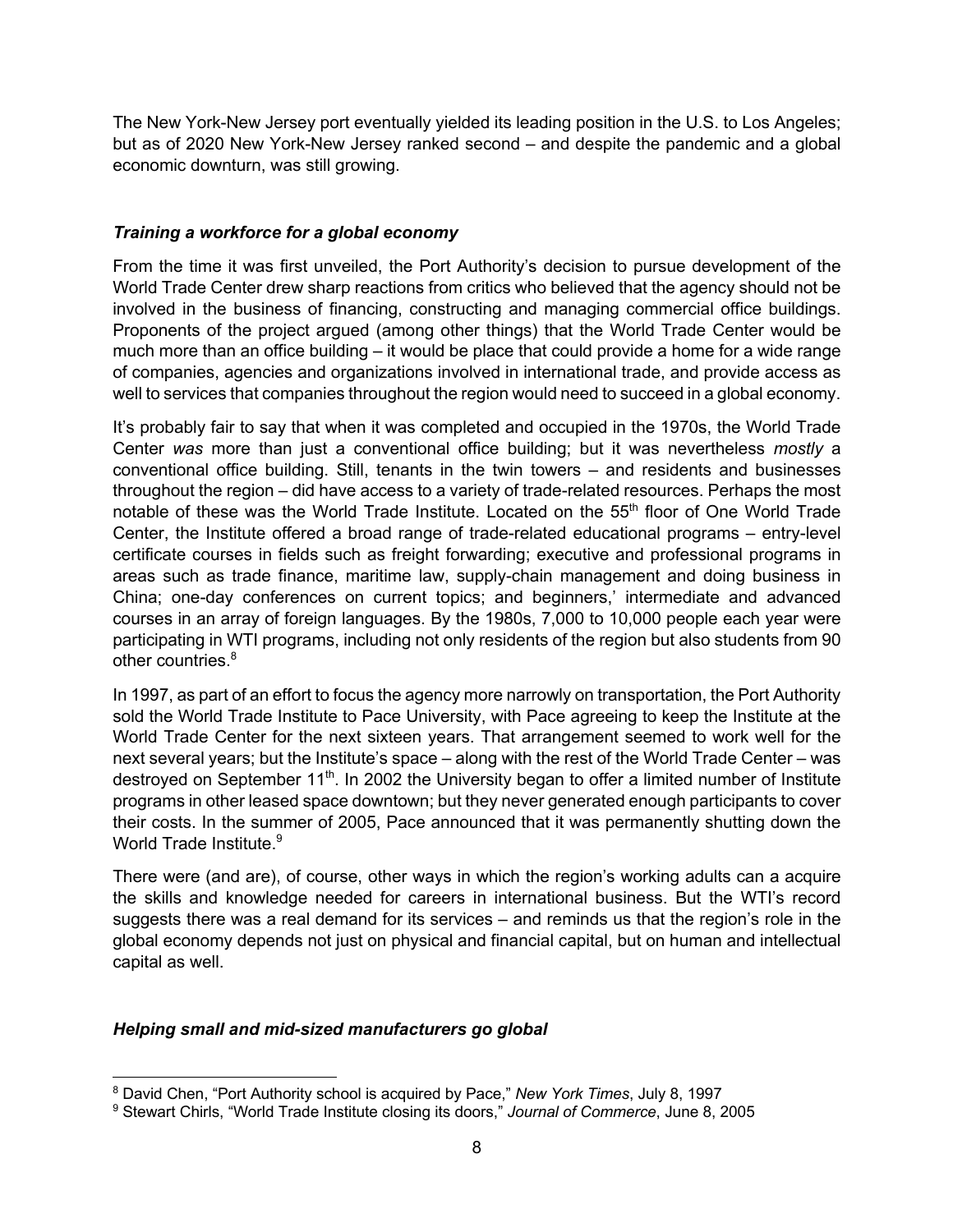The New York-New Jersey port eventually yielded its leading position in the U.S. to Los Angeles; but as of 2020 New York-New Jersey ranked second – and despite the pandemic and a global economic downturn, was still growing.

#### *Training a workforce for a global economy*

From the time it was first unveiled, the Port Authority's decision to pursue development of the World Trade Center drew sharp reactions from critics who believed that the agency should not be involved in the business of financing, constructing and managing commercial office buildings. Proponents of the project argued (among other things) that the World Trade Center would be much more than an office building – it would be place that could provide a home for a wide range of companies, agencies and organizations involved in international trade, and provide access as well to services that companies throughout the region would need to succeed in a global economy.

It's probably fair to say that when it was completed and occupied in the 1970s, the World Trade Center *was* more than just a conventional office building; but it was nevertheless *mostly* a conventional office building. Still, tenants in the twin towers – and residents and businesses throughout the region – did have access to a variety of trade-related resources. Perhaps the most notable of these was the World Trade Institute. Located on the 55<sup>th</sup> floor of One World Trade Center, the Institute offered a broad range of trade-related educational programs – entry-level certificate courses in fields such as freight forwarding; executive and professional programs in areas such as trade finance, maritime law, supply-chain management and doing business in China; one-day conferences on current topics; and beginners,' intermediate and advanced courses in an array of foreign languages. By the 1980s, 7,000 to 10,000 people each year were participating in WTI programs, including not only residents of the region but also students from 90 other countries.<sup>8</sup>

In 1997, as part of an effort to focus the agency more narrowly on transportation, the Port Authority sold the World Trade Institute to Pace University, with Pace agreeing to keep the Institute at the World Trade Center for the next sixteen years. That arrangement seemed to work well for the next several years; but the Institute's space – along with the rest of the World Trade Center – was destroyed on September 11<sup>th</sup>. In 2002 the University began to offer a limited number of Institute programs in other leased space downtown; but they never generated enough participants to cover their costs. In the summer of 2005, Pace announced that it was permanently shutting down the World Trade Institute.<sup>9</sup>

There were (and are), of course, other ways in which the region's working adults can a acquire the skills and knowledge needed for careers in international business. But the WTI's record suggests there was a real demand for its services – and reminds us that the region's role in the global economy depends not just on physical and financial capital, but on human and intellectual capital as well.

#### *Helping small and mid-sized manufacturers go global*

<sup>8</sup> David Chen, "Port Authority school is acquired by Pace," *New York Times*, July 8, 1997

<sup>9</sup> Stewart Chirls, "World Trade Institute closing its doors," *Journal of Commerce*, June 8, 2005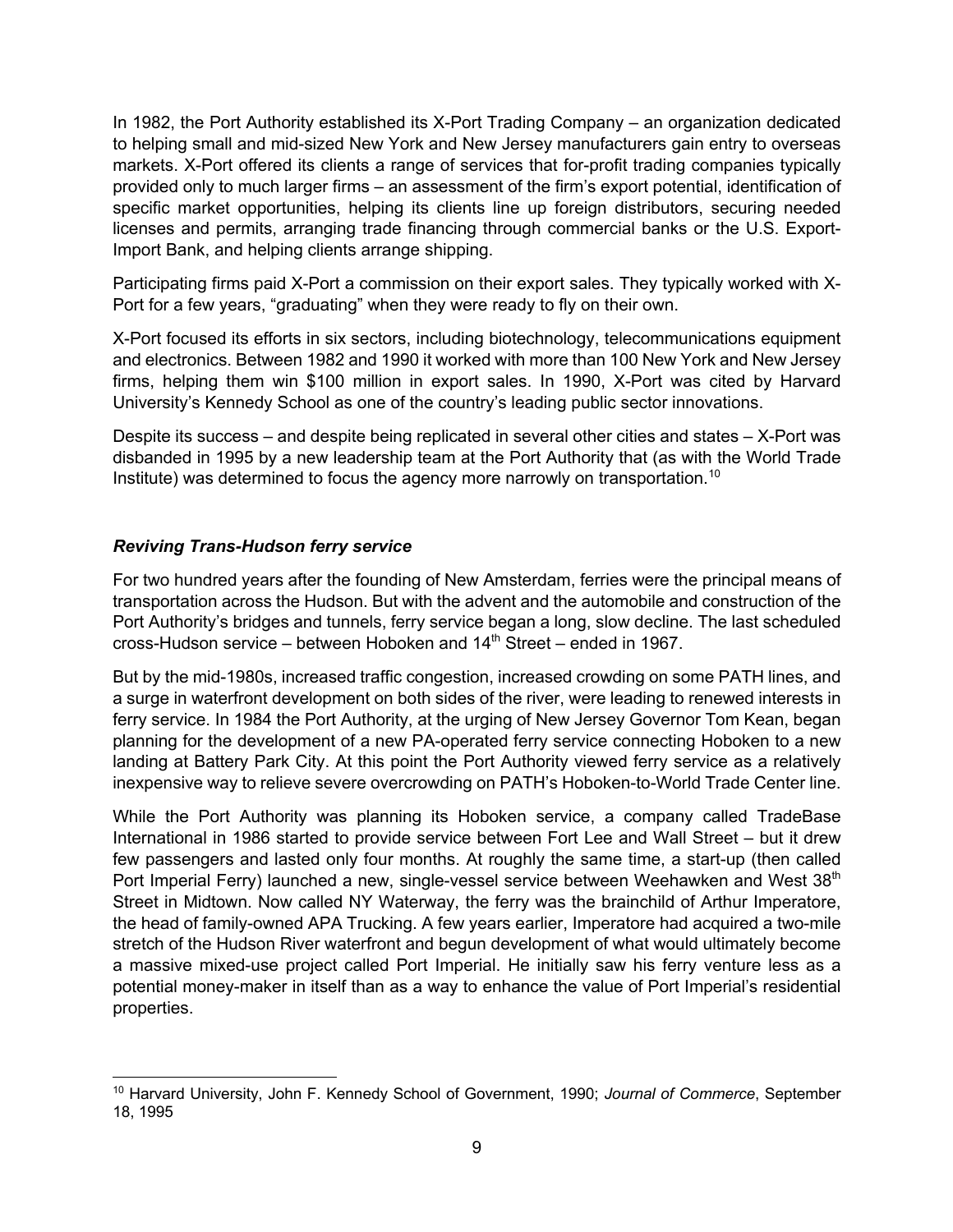In 1982, the Port Authority established its X-Port Trading Company – an organization dedicated to helping small and mid-sized New York and New Jersey manufacturers gain entry to overseas markets. X-Port offered its clients a range of services that for-profit trading companies typically provided only to much larger firms – an assessment of the firm's export potential, identification of specific market opportunities, helping its clients line up foreign distributors, securing needed licenses and permits, arranging trade financing through commercial banks or the U.S. Export-Import Bank, and helping clients arrange shipping.

Participating firms paid X-Port a commission on their export sales. They typically worked with X-Port for a few years, "graduating" when they were ready to fly on their own.

X-Port focused its efforts in six sectors, including biotechnology, telecommunications equipment and electronics. Between 1982 and 1990 it worked with more than 100 New York and New Jersey firms, helping them win \$100 million in export sales. In 1990, X-Port was cited by Harvard University's Kennedy School as one of the country's leading public sector innovations.

Despite its success – and despite being replicated in several other cities and states – X-Port was disbanded in 1995 by a new leadership team at the Port Authority that (as with the World Trade Institute) was determined to focus the agency more narrowly on transportation.<sup>10</sup>

## *Reviving Trans-Hudson ferry service*

For two hundred years after the founding of New Amsterdam, ferries were the principal means of transportation across the Hudson. But with the advent and the automobile and construction of the Port Authority's bridges and tunnels, ferry service began a long, slow decline. The last scheduled cross-Hudson service – between Hoboken and 14th Street – ended in 1967.

But by the mid-1980s, increased traffic congestion, increased crowding on some PATH lines, and a surge in waterfront development on both sides of the river, were leading to renewed interests in ferry service. In 1984 the Port Authority, at the urging of New Jersey Governor Tom Kean, began planning for the development of a new PA-operated ferry service connecting Hoboken to a new landing at Battery Park City. At this point the Port Authority viewed ferry service as a relatively inexpensive way to relieve severe overcrowding on PATH's Hoboken-to-World Trade Center line.

While the Port Authority was planning its Hoboken service, a company called TradeBase International in 1986 started to provide service between Fort Lee and Wall Street – but it drew few passengers and lasted only four months. At roughly the same time, a start-up (then called Port Imperial Ferry) launched a new, single-vessel service between Weehawken and West 38<sup>th</sup> Street in Midtown. Now called NY Waterway, the ferry was the brainchild of Arthur Imperatore, the head of family-owned APA Trucking. A few years earlier, Imperatore had acquired a two-mile stretch of the Hudson River waterfront and begun development of what would ultimately become a massive mixed-use project called Port Imperial. He initially saw his ferry venture less as a potential money-maker in itself than as a way to enhance the value of Port Imperial's residential properties.

<sup>10</sup> Harvard University, John F. Kennedy School of Government, 1990; *Journal of Commerce*, September 18, 1995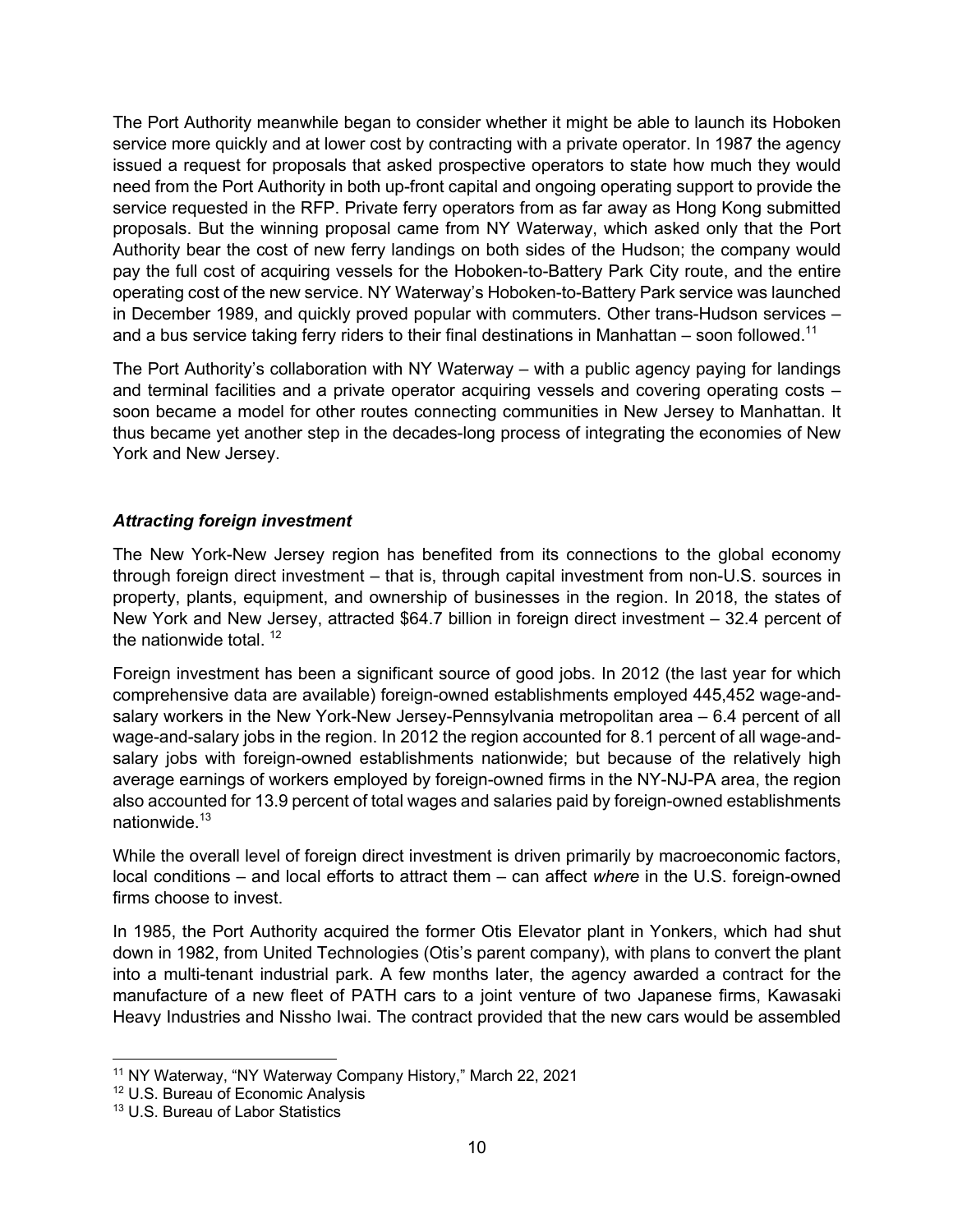The Port Authority meanwhile began to consider whether it might be able to launch its Hoboken service more quickly and at lower cost by contracting with a private operator. In 1987 the agency issued a request for proposals that asked prospective operators to state how much they would need from the Port Authority in both up-front capital and ongoing operating support to provide the service requested in the RFP. Private ferry operators from as far away as Hong Kong submitted proposals. But the winning proposal came from NY Waterway, which asked only that the Port Authority bear the cost of new ferry landings on both sides of the Hudson; the company would pay the full cost of acquiring vessels for the Hoboken-to-Battery Park City route, and the entire operating cost of the new service. NY Waterway's Hoboken-to-Battery Park service was launched in December 1989, and quickly proved popular with commuters. Other trans-Hudson services – and a bus service taking ferry riders to their final destinations in Manhattan – soon followed.<sup>11</sup>

The Port Authority's collaboration with NY Waterway – with a public agency paying for landings and terminal facilities and a private operator acquiring vessels and covering operating costs – soon became a model for other routes connecting communities in New Jersey to Manhattan. It thus became yet another step in the decades-long process of integrating the economies of New York and New Jersey.

#### *Attracting foreign investment*

The New York-New Jersey region has benefited from its connections to the global economy through foreign direct investment – that is, through capital investment from non-U.S. sources in property, plants, equipment, and ownership of businesses in the region. In 2018, the states of New York and New Jersey, attracted \$64.7 billion in foreign direct investment – 32.4 percent of the nationwide total.  $12$ 

Foreign investment has been a significant source of good jobs. In 2012 (the last year for which comprehensive data are available) foreign-owned establishments employed 445,452 wage-andsalary workers in the New York-New Jersey-Pennsylvania metropolitan area – 6.4 percent of all wage-and-salary jobs in the region. In 2012 the region accounted for 8.1 percent of all wage-andsalary jobs with foreign-owned establishments nationwide; but because of the relatively high average earnings of workers employed by foreign-owned firms in the NY-NJ-PA area, the region also accounted for 13.9 percent of total wages and salaries paid by foreign-owned establishments nationwide.<sup>13</sup>

While the overall level of foreign direct investment is driven primarily by macroeconomic factors, local conditions – and local efforts to attract them – can affect *where* in the U.S. foreign-owned firms choose to invest.

In 1985, the Port Authority acquired the former Otis Elevator plant in Yonkers, which had shut down in 1982, from United Technologies (Otis's parent company), with plans to convert the plant into a multi-tenant industrial park. A few months later, the agency awarded a contract for the manufacture of a new fleet of PATH cars to a joint venture of two Japanese firms, Kawasaki Heavy Industries and Nissho Iwai. The contract provided that the new cars would be assembled

<sup>11</sup> NY Waterway, "NY Waterway Company History," March 22, 2021

<sup>&</sup>lt;sup>12</sup> U.S. Bureau of Economic Analysis

<sup>13</sup> U.S. Bureau of Labor Statistics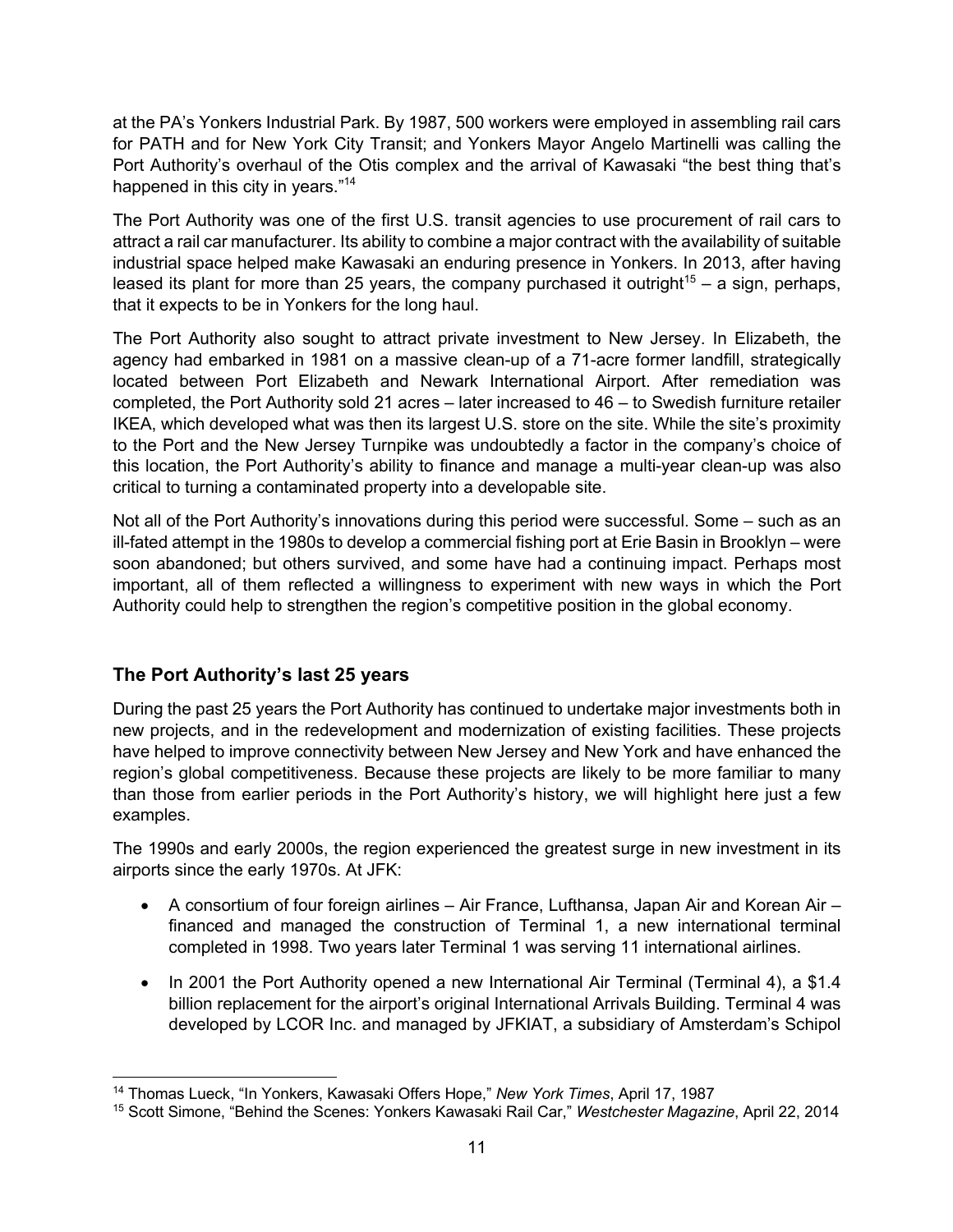at the PA's Yonkers Industrial Park. By 1987, 500 workers were employed in assembling rail cars for PATH and for New York City Transit; and Yonkers Mayor Angelo Martinelli was calling the Port Authority's overhaul of the Otis complex and the arrival of Kawasaki "the best thing that's happened in this city in years."<sup>14</sup>

The Port Authority was one of the first U.S. transit agencies to use procurement of rail cars to attract a rail car manufacturer. Its ability to combine a major contract with the availability of suitable industrial space helped make Kawasaki an enduring presence in Yonkers. In 2013, after having leased its plant for more than 25 years, the company purchased it outright<sup>15</sup> – a sign, perhaps, that it expects to be in Yonkers for the long haul.

The Port Authority also sought to attract private investment to New Jersey. In Elizabeth, the agency had embarked in 1981 on a massive clean-up of a 71-acre former landfill, strategically located between Port Elizabeth and Newark International Airport. After remediation was completed, the Port Authority sold 21 acres – later increased to 46 – to Swedish furniture retailer IKEA, which developed what was then its largest U.S. store on the site. While the site's proximity to the Port and the New Jersey Turnpike was undoubtedly a factor in the company's choice of this location, the Port Authority's ability to finance and manage a multi-year clean-up was also critical to turning a contaminated property into a developable site.

Not all of the Port Authority's innovations during this period were successful. Some – such as an ill-fated attempt in the 1980s to develop a commercial fishing port at Erie Basin in Brooklyn – were soon abandoned; but others survived, and some have had a continuing impact. Perhaps most important, all of them reflected a willingness to experiment with new ways in which the Port Authority could help to strengthen the region's competitive position in the global economy.

# **The Port Authority's last 25 years**

During the past 25 years the Port Authority has continued to undertake major investments both in new projects, and in the redevelopment and modernization of existing facilities. These projects have helped to improve connectivity between New Jersey and New York and have enhanced the region's global competitiveness. Because these projects are likely to be more familiar to many than those from earlier periods in the Port Authority's history, we will highlight here just a few examples.

The 1990s and early 2000s, the region experienced the greatest surge in new investment in its airports since the early 1970s. At JFK:

- A consortium of four foreign airlines Air France, Lufthansa, Japan Air and Korean Air financed and managed the construction of Terminal 1, a new international terminal completed in 1998. Two years later Terminal 1 was serving 11 international airlines.
- In 2001 the Port Authority opened a new International Air Terminal (Terminal 4), a \$1.4 billion replacement for the airport's original International Arrivals Building. Terminal 4 was developed by LCOR Inc. and managed by JFKIAT, a subsidiary of Amsterdam's Schipol

<sup>14</sup> Thomas Lueck, "In Yonkers, Kawasaki Offers Hope," *New York Times*, April 17, 1987

<sup>15</sup> Scott Simone, "Behind the Scenes: Yonkers Kawasaki Rail Car," *Westchester Magazine*, April 22, 2014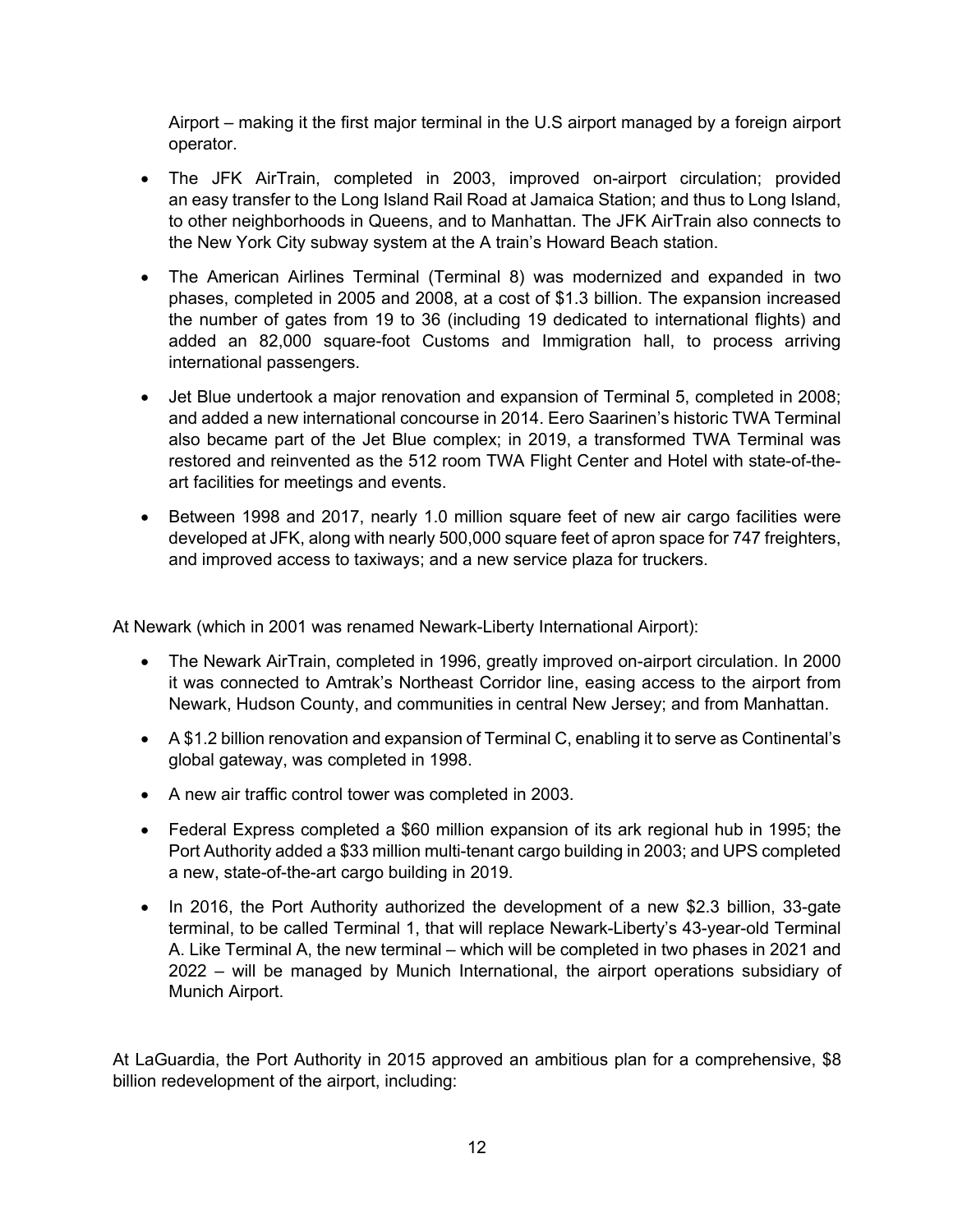Airport – making it the first major terminal in the U.S airport managed by a foreign airport operator.

- The JFK AirTrain, completed in 2003, improved on-airport circulation; provided an easy transfer to the Long Island Rail Road at Jamaica Station; and thus to Long Island, to other neighborhoods in Queens, and to Manhattan. The JFK AirTrain also connects to the New York City subway system at the A train's Howard Beach station.
- The American Airlines Terminal (Terminal 8) was modernized and expanded in two phases, completed in 2005 and 2008, at a cost of \$1.3 billion. The expansion increased the number of gates from 19 to 36 (including 19 dedicated to international flights) and added an 82,000 square-foot Customs and Immigration hall, to process arriving international passengers.
- Jet Blue undertook a major renovation and expansion of Terminal 5, completed in 2008; and added a new international concourse in 2014. Eero Saarinen's historic TWA Terminal also became part of the Jet Blue complex; in 2019, a transformed TWA Terminal was restored and reinvented as the 512 room TWA Flight Center and Hotel with state-of-theart facilities for meetings and events.
- Between 1998 and 2017, nearly 1.0 million square feet of new air cargo facilities were developed at JFK, along with nearly 500,000 square feet of apron space for 747 freighters, and improved access to taxiways; and a new service plaza for truckers.

At Newark (which in 2001 was renamed Newark-Liberty International Airport):

- The Newark AirTrain, completed in 1996, greatly improved on-airport circulation. In 2000 it was connected to Amtrak's Northeast Corridor line, easing access to the airport from Newark, Hudson County, and communities in central New Jersey; and from Manhattan.
- A \$1.2 billion renovation and expansion of Terminal C, enabling it to serve as Continental's global gateway, was completed in 1998.
- A new air traffic control tower was completed in 2003.
- Federal Express completed a \$60 million expansion of its ark regional hub in 1995; the Port Authority added a \$33 million multi-tenant cargo building in 2003; and UPS completed a new, state-of-the-art cargo building in 2019.
- In 2016, the Port Authority authorized the development of a new \$2.3 billion, 33-gate terminal, to be called Terminal 1, that will replace Newark-Liberty's 43-year-old Terminal A. Like Terminal A, the new terminal – which will be completed in two phases in 2021 and 2022 – will be managed by Munich International, the airport operations subsidiary of Munich Airport.

At LaGuardia, the Port Authority in 2015 approved an ambitious plan for a comprehensive, \$8 billion redevelopment of the airport, including: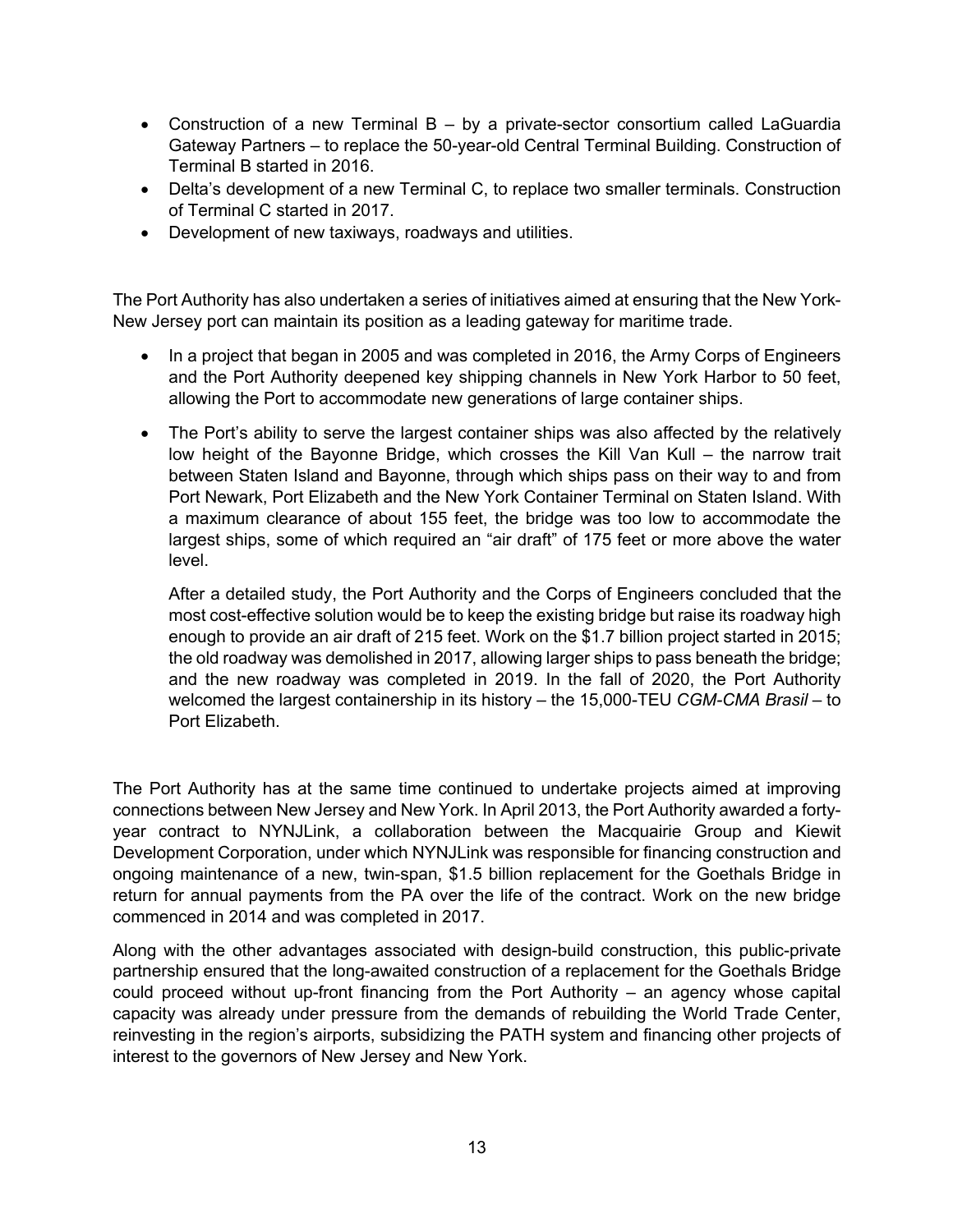- Construction of a new Terminal B by a private-sector consortium called LaGuardia Gateway Partners – to replace the 50-year-old Central Terminal Building. Construction of Terminal B started in 2016.
- Delta's development of a new Terminal C, to replace two smaller terminals. Construction of Terminal C started in 2017.
- Development of new taxiways, roadways and utilities.

The Port Authority has also undertaken a series of initiatives aimed at ensuring that the New York-New Jersey port can maintain its position as a leading gateway for maritime trade.

- In a project that began in 2005 and was completed in 2016, the Army Corps of Engineers and the Port Authority deepened key shipping channels in New York Harbor to 50 feet, allowing the Port to accommodate new generations of large container ships.
- The Port's ability to serve the largest container ships was also affected by the relatively low height of the Bayonne Bridge, which crosses the Kill Van Kull – the narrow trait between Staten Island and Bayonne, through which ships pass on their way to and from Port Newark, Port Elizabeth and the New York Container Terminal on Staten Island. With a maximum clearance of about 155 feet, the bridge was too low to accommodate the largest ships, some of which required an "air draft" of 175 feet or more above the water level.

After a detailed study, the Port Authority and the Corps of Engineers concluded that the most cost-effective solution would be to keep the existing bridge but raise its roadway high enough to provide an air draft of 215 feet. Work on the \$1.7 billion project started in 2015; the old roadway was demolished in 2017, allowing larger ships to pass beneath the bridge; and the new roadway was completed in 2019. In the fall of 2020, the Port Authority welcomed the largest containership in its history – the 15,000-TEU *CGM-CMA Brasil* – to Port Elizabeth.

The Port Authority has at the same time continued to undertake projects aimed at improving connections between New Jersey and New York. In April 2013, the Port Authority awarded a fortyyear contract to NYNJLink, a collaboration between the Macquairie Group and Kiewit Development Corporation, under which NYNJLink was responsible for financing construction and ongoing maintenance of a new, twin-span, \$1.5 billion replacement for the Goethals Bridge in return for annual payments from the PA over the life of the contract. Work on the new bridge commenced in 2014 and was completed in 2017.

Along with the other advantages associated with design-build construction, this public-private partnership ensured that the long-awaited construction of a replacement for the Goethals Bridge could proceed without up-front financing from the Port Authority – an agency whose capital capacity was already under pressure from the demands of rebuilding the World Trade Center, reinvesting in the region's airports, subsidizing the PATH system and financing other projects of interest to the governors of New Jersey and New York.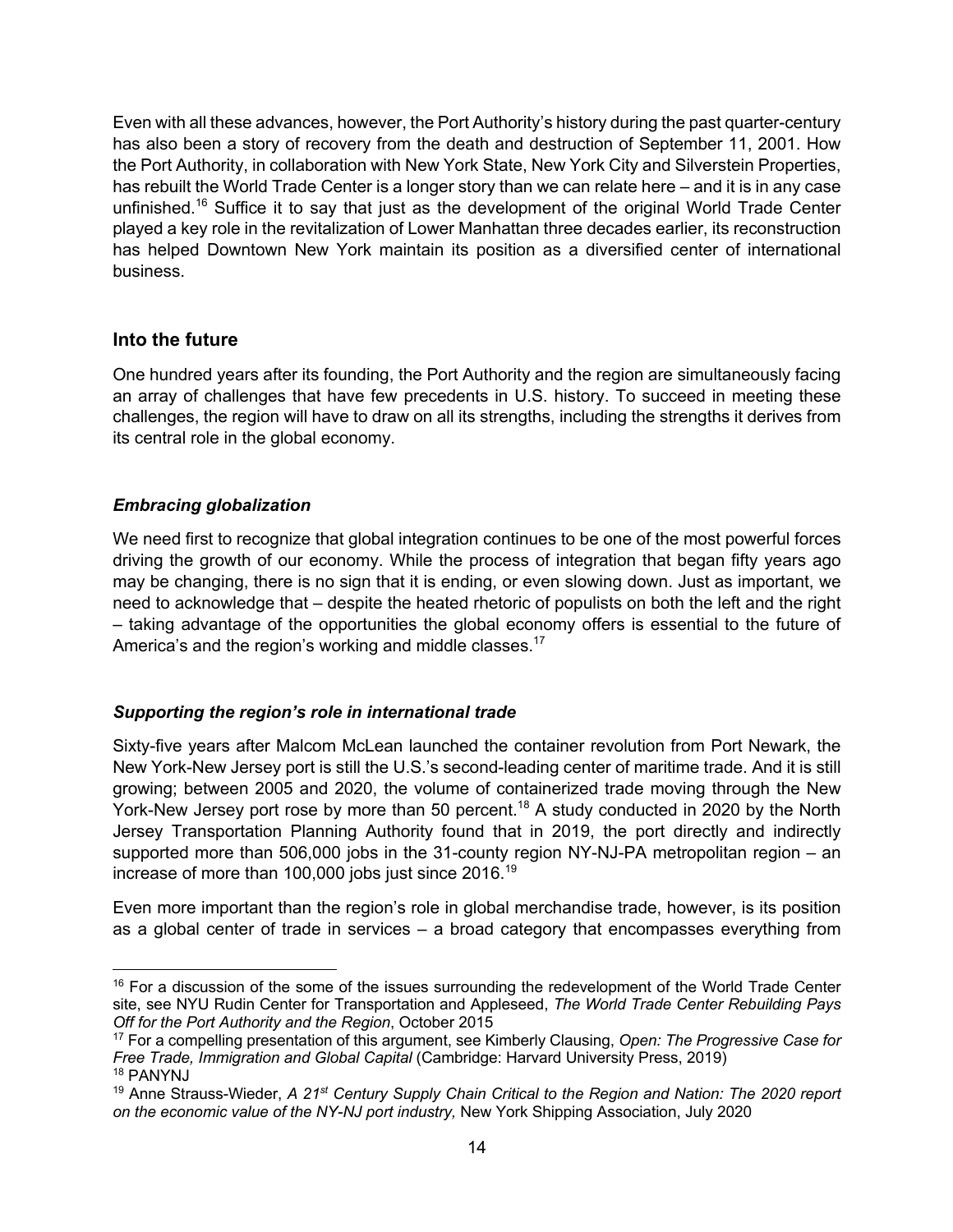Even with all these advances, however, the Port Authority's history during the past quarter-century has also been a story of recovery from the death and destruction of September 11, 2001. How the Port Authority, in collaboration with New York State, New York City and Silverstein Properties, has rebuilt the World Trade Center is a longer story than we can relate here – and it is in any case unfinished.<sup>16</sup> Suffice it to say that just as the development of the original World Trade Center played a key role in the revitalization of Lower Manhattan three decades earlier, its reconstruction has helped Downtown New York maintain its position as a diversified center of international business.

#### **Into the future**

One hundred years after its founding, the Port Authority and the region are simultaneously facing an array of challenges that have few precedents in U.S. history. To succeed in meeting these challenges, the region will have to draw on all its strengths, including the strengths it derives from its central role in the global economy.

#### *Embracing globalization*

We need first to recognize that global integration continues to be one of the most powerful forces driving the growth of our economy. While the process of integration that began fifty years ago may be changing, there is no sign that it is ending, or even slowing down. Just as important, we need to acknowledge that – despite the heated rhetoric of populists on both the left and the right – taking advantage of the opportunities the global economy offers is essential to the future of America's and the region's working and middle classes.<sup>17</sup>

#### *Supporting the region's role in international trade*

Sixty-five years after Malcom McLean launched the container revolution from Port Newark, the New York-New Jersey port is still the U.S.'s second-leading center of maritime trade. And it is still growing; between 2005 and 2020, the volume of containerized trade moving through the New York-New Jersey port rose by more than 50 percent.<sup>18</sup> A study conducted in 2020 by the North Jersey Transportation Planning Authority found that in 2019, the port directly and indirectly supported more than 506,000 jobs in the 31-county region NY-NJ-PA metropolitan region – an increase of more than 100,000 jobs just since 2016.<sup>19</sup>

Even more important than the region's role in global merchandise trade, however, is its position as a global center of trade in services – a broad category that encompasses everything from

<sup>&</sup>lt;sup>16</sup> For a discussion of the some of the issues surrounding the redevelopment of the World Trade Center site, see NYU Rudin Center for Transportation and Appleseed, *The World Trade Center Rebuilding Pays Off for the Port Authority and the Region*, October 2015

<sup>17</sup> For a compelling presentation of this argument, see Kimberly Clausing, *Open: The Progressive Case for Free Trade, Immigration and Global Capital* (Cambridge: Harvard University Press, 2019)<br><sup>18</sup> PANYNJ

<sup>19</sup> Anne Strauss-Wieder, *A 21st Century Supply Chain Critical to the Region and Nation: The 2020 report on the economic value of the NY-NJ port industry,* New York Shipping Association, July 2020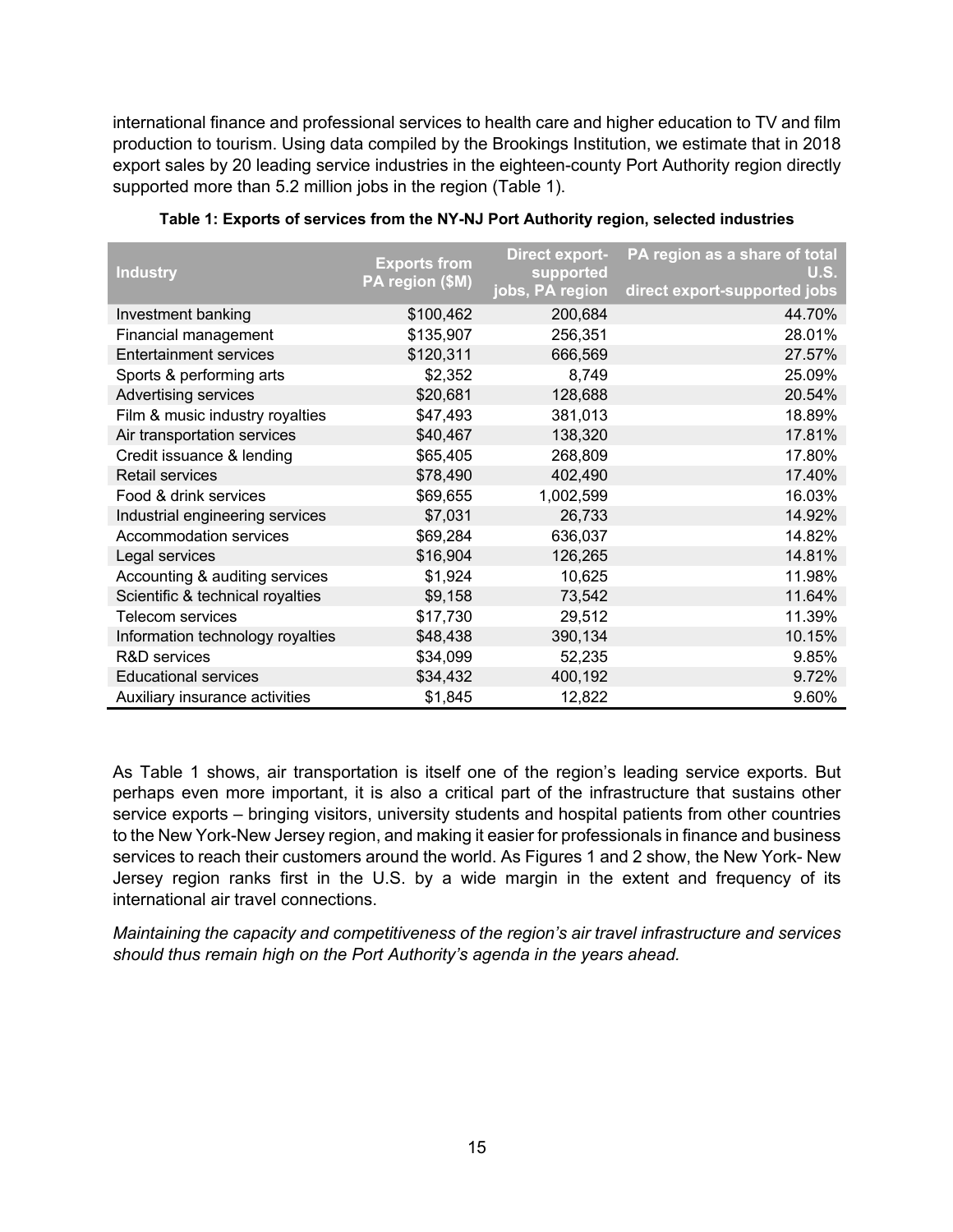international finance and professional services to health care and higher education to TV and film production to tourism. Using data compiled by the Brookings Institution, we estimate that in 2018 export sales by 20 leading service industries in the eighteen-county Port Authority region directly supported more than 5.2 million jobs in the region (Table 1).

| <b>Industry</b>                  | <b>Exports from</b><br>PA region (\$M) | <b>Direct export-</b><br>supported<br>jobs, PA region | PA region as a share of total<br>U.S.<br>direct export-supported jobs |
|----------------------------------|----------------------------------------|-------------------------------------------------------|-----------------------------------------------------------------------|
| Investment banking               | \$100,462                              | 200,684                                               | 44.70%                                                                |
| Financial management             | \$135,907                              | 256,351                                               | 28.01%                                                                |
| <b>Entertainment services</b>    | \$120,311                              | 666,569                                               | 27.57%                                                                |
| Sports & performing arts         | \$2,352                                | 8,749                                                 | 25.09%                                                                |
| Advertising services             | \$20,681                               | 128,688                                               | 20.54%                                                                |
| Film & music industry royalties  | \$47,493                               | 381,013                                               | 18.89%                                                                |
| Air transportation services      | \$40,467                               | 138,320                                               | 17.81%                                                                |
| Credit issuance & lending        | \$65,405                               | 268,809                                               | 17.80%                                                                |
| <b>Retail services</b>           | \$78,490                               | 402,490                                               | 17.40%                                                                |
| Food & drink services            | \$69,655                               | 1,002,599                                             | 16.03%                                                                |
| Industrial engineering services  | \$7,031                                | 26,733                                                | 14.92%                                                                |
| Accommodation services           | \$69,284                               | 636,037                                               | 14.82%                                                                |
| Legal services                   | \$16,904                               | 126,265                                               | 14.81%                                                                |
| Accounting & auditing services   | \$1,924                                | 10,625                                                | 11.98%                                                                |
| Scientific & technical royalties | \$9,158                                | 73,542                                                | 11.64%                                                                |
| Telecom services                 | \$17,730                               | 29,512                                                | 11.39%                                                                |
| Information technology royalties | \$48,438                               | 390,134                                               | 10.15%                                                                |
| <b>R&amp;D</b> services          | \$34,099                               | 52,235                                                | 9.85%                                                                 |
| <b>Educational services</b>      | \$34,432                               | 400,192                                               | 9.72%                                                                 |
| Auxiliary insurance activities   | \$1,845                                | 12,822                                                | 9.60%                                                                 |

**Table 1: Exports of services from the NY-NJ Port Authority region, selected industries**

As Table 1 shows, air transportation is itself one of the region's leading service exports. But perhaps even more important, it is also a critical part of the infrastructure that sustains other service exports – bringing visitors, university students and hospital patients from other countries to the New York-New Jersey region, and making it easier for professionals in finance and business services to reach their customers around the world. As Figures 1 and 2 show, the New York- New Jersey region ranks first in the U.S. by a wide margin in the extent and frequency of its international air travel connections.

*Maintaining the capacity and competitiveness of the region's air travel infrastructure and services should thus remain high on the Port Authority's agenda in the years ahead.*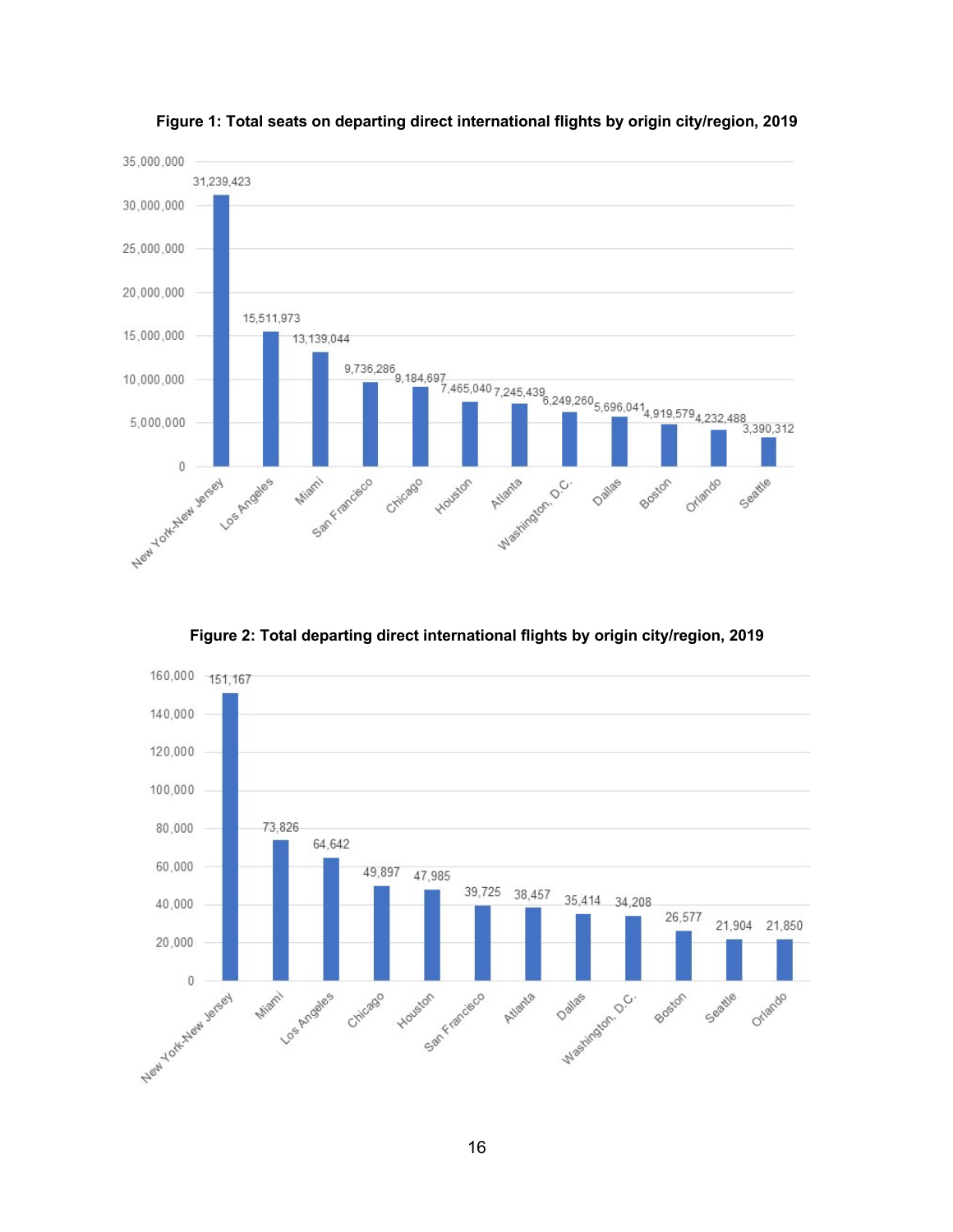

**Figure 1: Total seats on departing direct international flights by origin city/region, 2019**

**Figure 2: Total departing direct international flights by origin city/region, 2019**